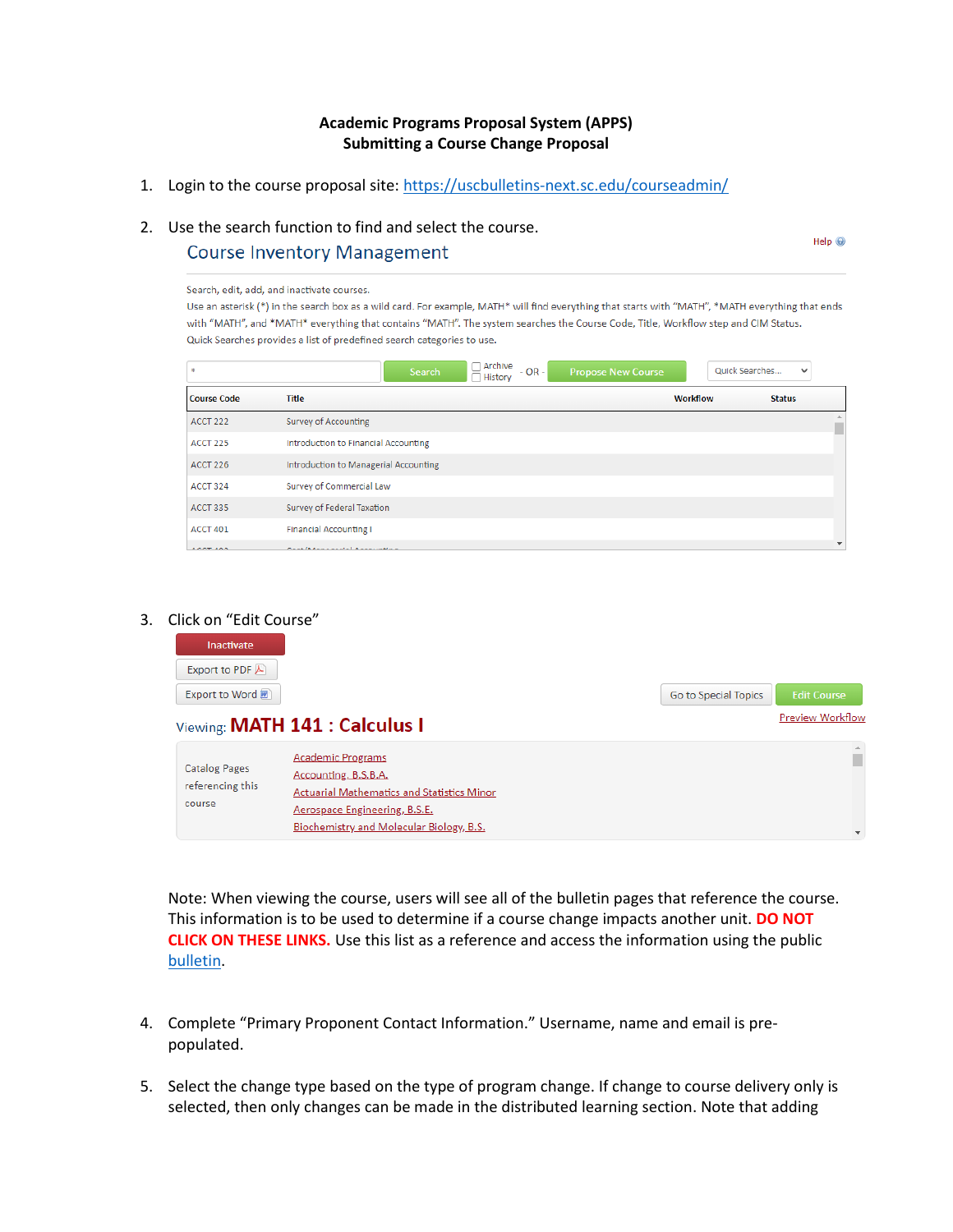### **Academic Programs Proposal System (APPS) Submitting a Course Change Proposal**

1. Login to the course proposal site:<https://uscbulletins-next.sc.edu/courseadmin/>

## 2. Use the search function to find and select the course.

#### **Course Inventory Management**

Search, edit, add, and inactivate courses. Use an asterisk (\*) in the search box as a wild card. For example, MATH\* will find everything that starts with "MATH", \*MATH everything that ends with "MATH", and \*MATH\* everything that contains "MATH". The system searches the Course Code, Title, Workflow step and CIM Status. Quick Searches provides a list of predefined search categories to use.

Help $\odot$ 

| $\mathcal{R}$      | ∩ Archive<br>Search<br>$- OR -$<br>□ History | <b>Propose New Course</b> | Quick Searches<br>$\checkmark$ |
|--------------------|----------------------------------------------|---------------------------|--------------------------------|
| <b>Course Code</b> | <b>Title</b>                                 | Workflow                  | <b>Status</b>                  |
| <b>ACCT 222</b>    | Survey of Accounting                         |                           |                                |
| ACCT 225           | Introduction to Financial Accounting         |                           |                                |
| ACCT 226           | Introduction to Managerial Accounting        |                           |                                |
| ACCT 324           | Survey of Commercial Law                     |                           |                                |
| ACCT 335           | Survey of Federal Taxation                   |                           |                                |
| ACCT 401           | <b>Financial Accounting I</b>                |                           |                                |
| ACCT 400           | Constitutional and a communication           |                           | $\check{}$                     |

#### 3. Click on "Edit Course"

| Inactivate           |                                                   |                      |                          |
|----------------------|---------------------------------------------------|----------------------|--------------------------|
| Export to PDF        |                                                   |                      |                          |
| Export to Word n     |                                                   | Go to Special Topics | <b>Edit Course</b>       |
|                      | Viewing: MATH 141 : Calculus I                    |                      | Preview Workflow         |
|                      | <b>Academic Programs</b>                          |                      |                          |
| <b>Catalog Pages</b> | Accounting, B.S.B.A.                              |                      |                          |
| referencing this     | <b>Actuarial Mathematics and Statistics Minor</b> |                      |                          |
| course               | Aerospace Engineering, B.S.E.                     |                      |                          |
|                      | Biochemistry and Molecular Biology, B.S.          |                      | $\overline{\phantom{a}}$ |

Note: When viewing the course, users will see all of the bulletin pages that reference the course. This information is to be used to determine if a course change impacts another unit. **DO NOT CLICK ON THESE LINKS.** Use this list as a reference and access the information using the public [bulletin.](https://academicbulletins.sc.edu/)

- 4. Complete "Primary Proponent Contact Information." Username, name and email is prepopulated.
- 5. Select the change type based on the type of program change. If change to course delivery only is selected, then only changes can be made in the distributed learning section. Note that adding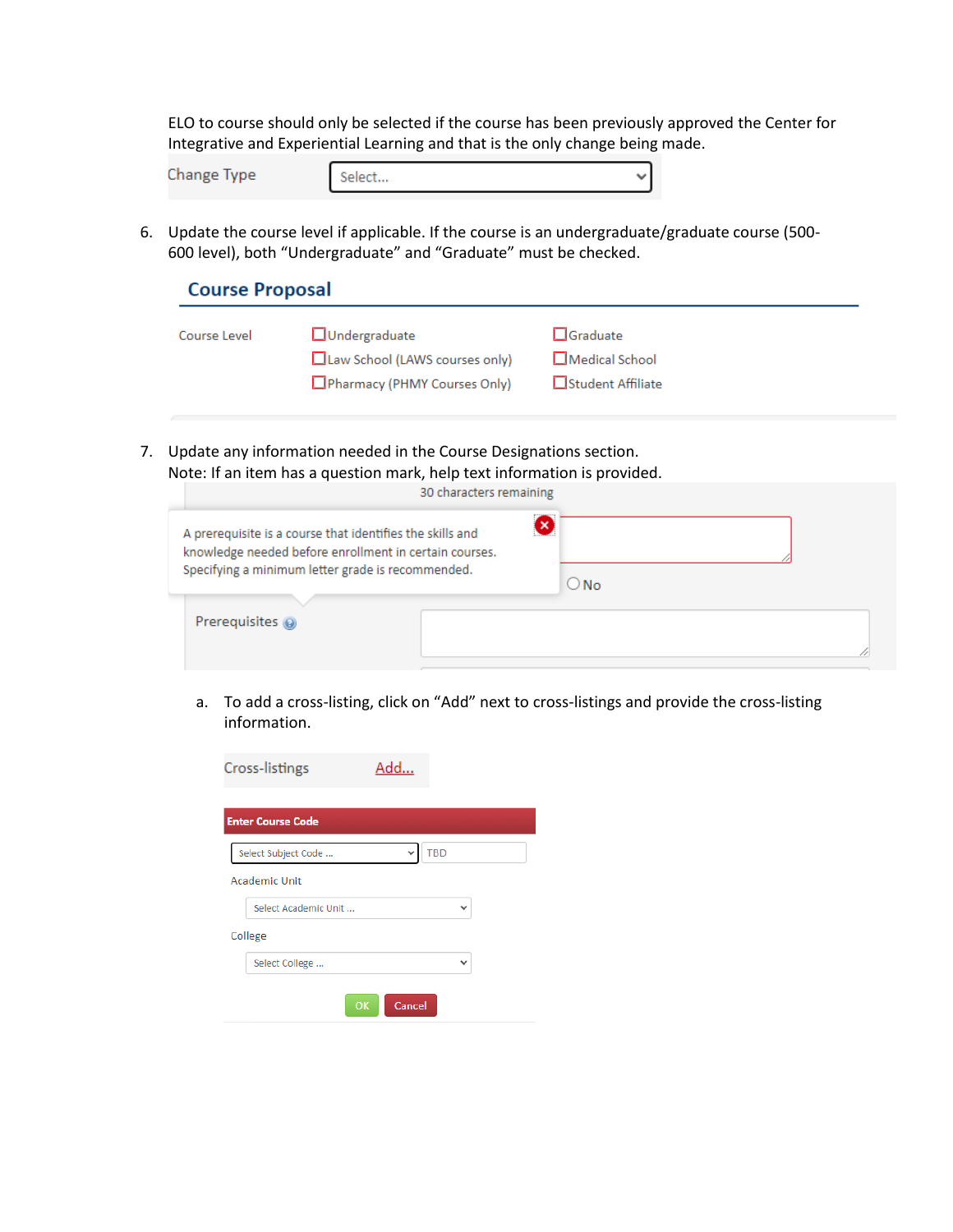ELO to course should only be selected if the course has been previously approved the Center for Integrative and Experiential Learning and that is the only change being made.

| Change Ivpe<br>------ | $\sim$ |  |
|-----------------------|--------|--|
|                       |        |  |

6. Update the course level if applicable. If the course is an undergraduate/graduate course (500- 600 level), both "Undergraduate" and "Graduate" must be checked.

| <b>Course Proposal</b> |                                                                                        |                                                                |  |  |  |
|------------------------|----------------------------------------------------------------------------------------|----------------------------------------------------------------|--|--|--|
| Course Level           | $\Box$ Undergraduate<br>Law School (LAWS courses only)<br>Pharmacy (PHMY Courses Only) | $\Box$ Graduate<br>$\Box$ Medical School<br>□Student Affiliate |  |  |  |
|                        |                                                                                        |                                                                |  |  |  |

7. Update any information needed in the Course Designations section. Note: If an item has a question mark, help text information is provided.

|                                                                                                                                                                          | 30 characters remaining |               |
|--------------------------------------------------------------------------------------------------------------------------------------------------------------------------|-------------------------|---------------|
| A prerequisite is a course that identifies the skills and<br>knowledge needed before enrollment in certain courses.<br>Specifying a minimum letter grade is recommended. | ×                       | $\bigcirc$ No |
| Prerequisites @                                                                                                                                                          |                         |               |

a. To add a cross-listing, click on "Add" next to cross-listings and provide the cross-listing information.

| Cross-listings           | Add.         |
|--------------------------|--------------|
| <b>Enter Course Code</b> |              |
| Select Subject Code      | <b>TBD</b>   |
| <b>Academic Unit</b>     |              |
| Select Academic Unit     | $\check{ }$  |
| College                  |              |
| Select College           | $\checkmark$ |
| OK                       | Cancel       |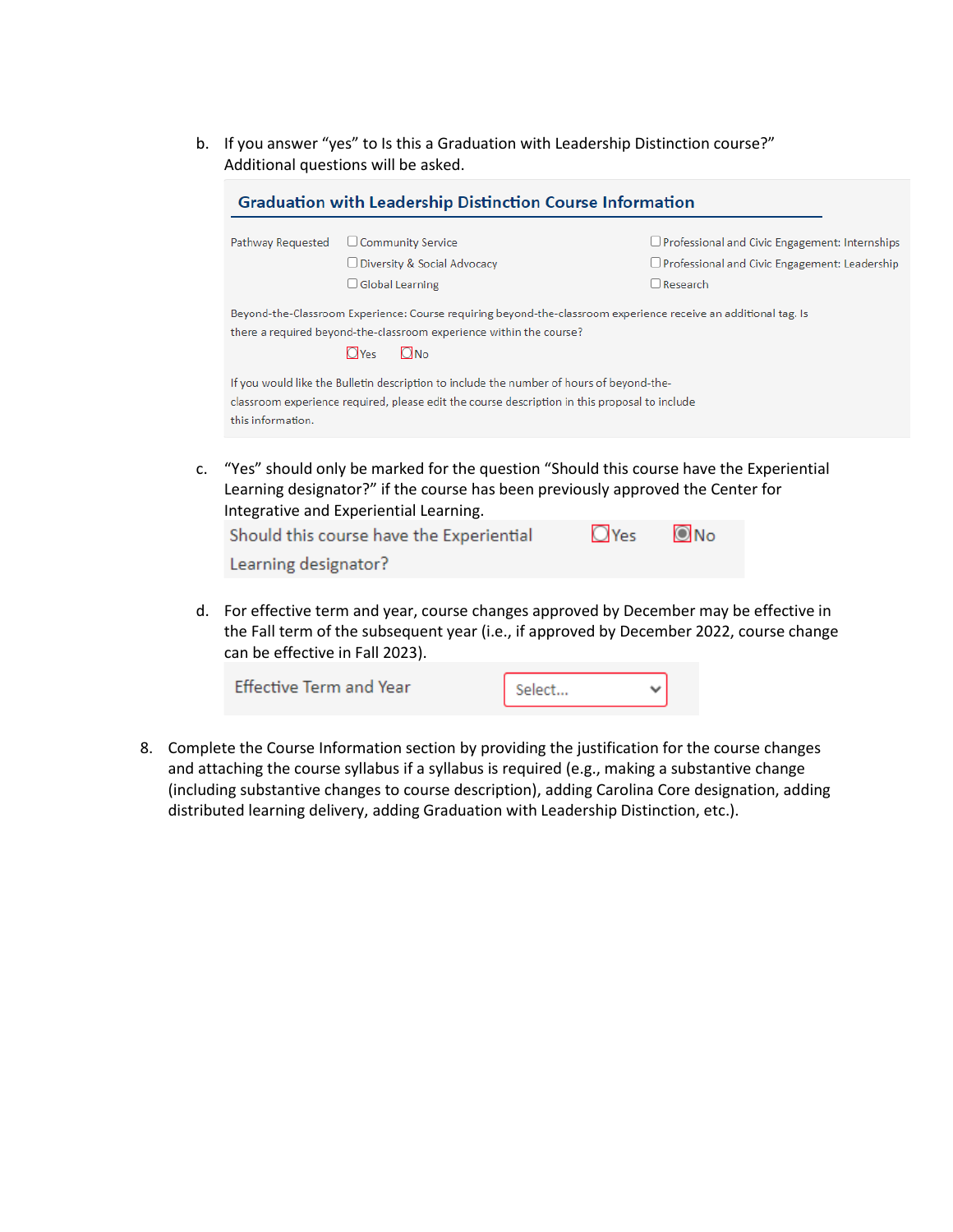b. If you answer "yes" to Is this a Graduation with Leadership Distinction course?" Additional questions will be asked.

|                   | <b>Graduation with Leadership Distinction Course Information</b>                                                                                                                                                    |                                                                                        |
|-------------------|---------------------------------------------------------------------------------------------------------------------------------------------------------------------------------------------------------------------|----------------------------------------------------------------------------------------|
| Pathway Requested | $\Box$ Community Service                                                                                                                                                                                            | $\Box$ Professional and Civic Engagement: Internships                                  |
|                   | $\Box$ Diversity & Social Advocacy                                                                                                                                                                                  | $\Box$ Professional and Civic Engagement: Leadership                                   |
|                   | $\Box$ Global Learning                                                                                                                                                                                              | $\Box$ Research                                                                        |
|                   | Beyond-the-Classroom Experience: Course requiring beyond-the-classroom experience receive an additional tag. Is<br>there a required beyond-the-classroom experience within the course?<br>$\Box$ No<br><b>O</b> Yes |                                                                                        |
|                   | If you would like the Bulletin description to include the number of hours of beyond-the-                                                                                                                            |                                                                                        |
| this information. | classroom experience required, please edit the course description in this proposal to include                                                                                                                       |                                                                                        |
|                   |                                                                                                                                                                                                                     | "Yes" should only be marked for the question "Should this course have the Experiential |

c. "Yes" should only be marked for the question "Should this course have the Experiential Learning designator?" if the course has been previously approved the Center for Integrative and Experiential Learning.

| Should this course have the Experiential | $O$ Yes $O$ No |  |
|------------------------------------------|----------------|--|
| Learning designator?                     |                |  |

d. For effective term and year, course changes approved by December may be effective in the Fall term of the subsequent year (i.e., if approved by December 2022, course change can be effective in Fall 2023).

| <b>Effective Term and Year</b> | Select |  |
|--------------------------------|--------|--|
|                                |        |  |

8. Complete the Course Information section by providing the justification for the course changes and attaching the course syllabus if a syllabus is required (e.g., making a substantive change (including substantive changes to course description), adding Carolina Core designation, adding distributed learning delivery, adding Graduation with Leadership Distinction, etc.).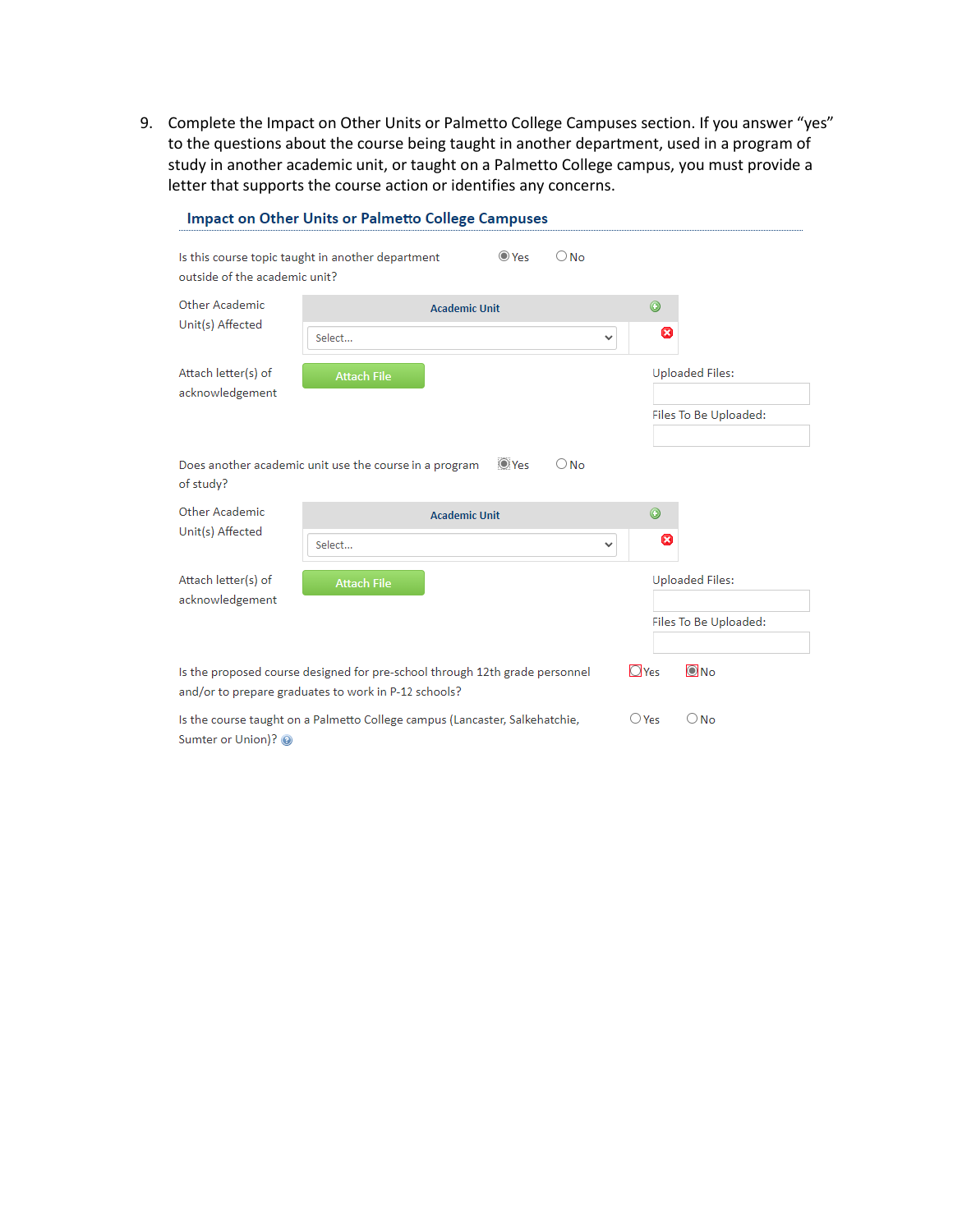9. Complete the Impact on Other Units or Palmetto College Campuses section. If you answer "yes" to the questions about the course being taught in another department, used in a program of study in another academic unit, or taught on a Palmetto College campus, you must provide a letter that supports the course action or identifies any concerns.

|                                                                                                                                                                               | <b>Impact on Other Units or Palmetto College Campuses</b> |                      |             |               |         |   |                        |
|-------------------------------------------------------------------------------------------------------------------------------------------------------------------------------|-----------------------------------------------------------|----------------------|-------------|---------------|---------|---|------------------------|
| Is this course topic taught in another department<br>outside of the academic unit?                                                                                            |                                                           |                      | $\odot$ Yes | $\bigcirc$ No |         |   |                        |
| Other Academic                                                                                                                                                                |                                                           | <b>Academic Unit</b> |             |               | $\odot$ |   |                        |
| Unit(s) Affected                                                                                                                                                              | Select                                                    |                      |             | $\checkmark$  |         | Ø |                        |
| Attach letter(s) of<br>acknowledgement                                                                                                                                        | <b>Attach File</b>                                        |                      |             |               |         |   | <b>Uploaded Files:</b> |
|                                                                                                                                                                               |                                                           |                      |             |               |         |   | Files To Be Uploaded:  |
|                                                                                                                                                                               |                                                           |                      |             |               |         |   |                        |
| Does another academic unit use the course in a program<br>of study?                                                                                                           |                                                           |                      | $\odot$ Yes | $\bigcirc$ No |         |   |                        |
| Other Academic                                                                                                                                                                |                                                           | <b>Academic Unit</b> |             |               | $\odot$ |   |                        |
| Unit(s) Affected                                                                                                                                                              | Select                                                    |                      |             | ٧             |         | Ø |                        |
| Attach letter(s) of                                                                                                                                                           | <b>Attach File</b>                                        |                      |             |               |         |   | <b>Uploaded Files:</b> |
| acknowledgement                                                                                                                                                               |                                                           |                      |             |               |         |   |                        |
|                                                                                                                                                                               |                                                           |                      |             |               |         |   | Files To Be Uploaded:  |
|                                                                                                                                                                               |                                                           |                      |             |               |         |   |                        |
| $\overline{\text{O}}$ No<br>$\Box$ Yes<br>Is the proposed course designed for pre-school through 12th grade personnel<br>and/or to prepare graduates to work in P-12 schools? |                                                           |                      |             |               |         |   |                        |
| $\bigcirc$ No<br>Is the course taught on a Palmetto College campus (Lancaster, Salkehatchie,<br>$\bigcirc$ Yes<br>Sumter or Union)? @                                         |                                                           |                      |             |               |         |   |                        |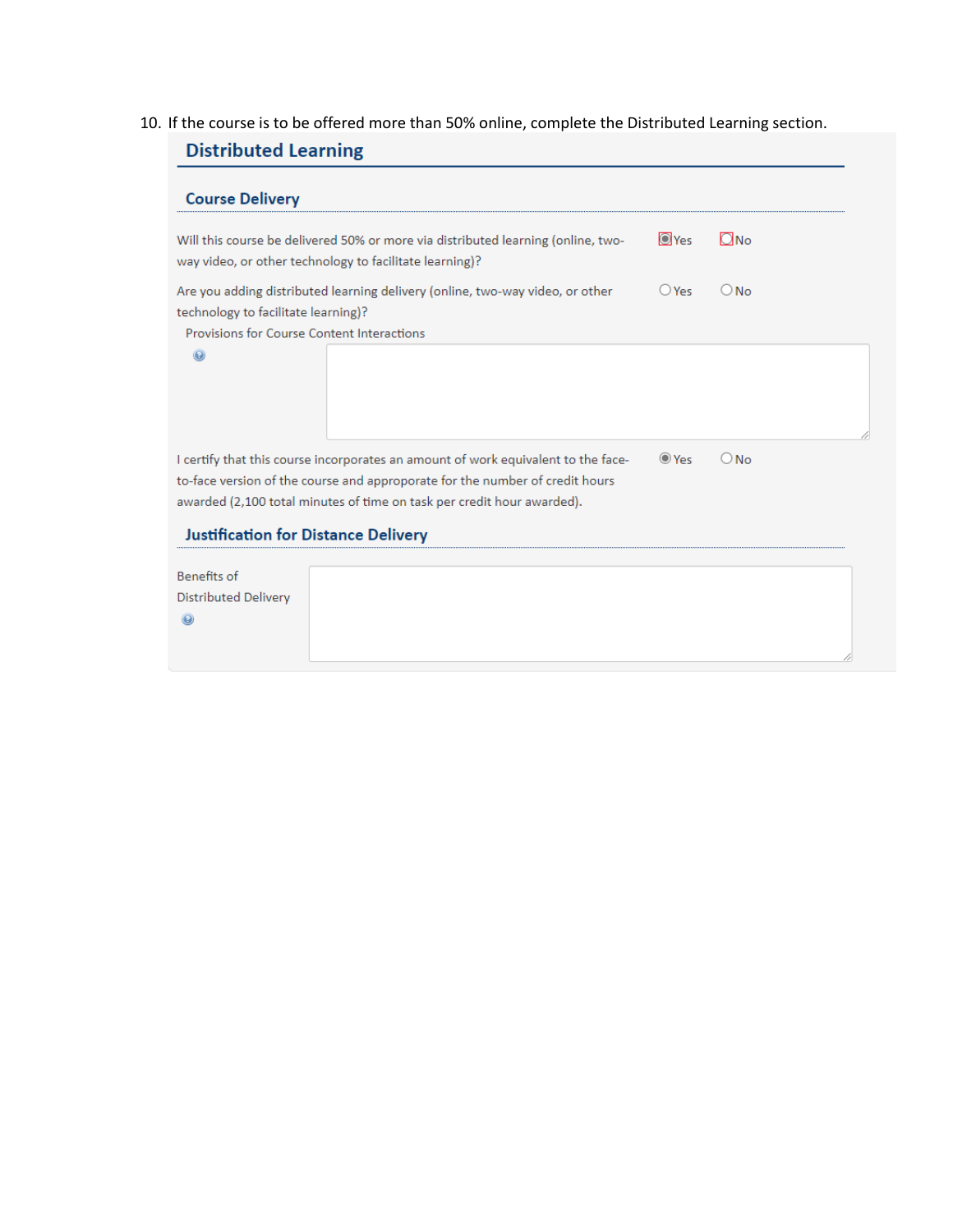# 10. If the course is to be offered more than 50% online, complete the Distributed Learning section.

| <b>Course Delivery</b>                                                                                                                      |              |               |  |
|---------------------------------------------------------------------------------------------------------------------------------------------|--------------|---------------|--|
| Will this course be delivered 50% or more via distributed learning (online, two-<br>way video, or other technology to facilitate learning)? | <b>O</b> Yes | $\Box$ No     |  |
| Are you adding distributed learning delivery (online, two-way video, or other                                                               | $O$ Yes      | $\bigcirc$ No |  |
| technology to facilitate learning)?                                                                                                         |              |               |  |
| <b>Provisions for Course Content Interactions</b>                                                                                           |              |               |  |
|                                                                                                                                             |              |               |  |
| I certify that this course incorporates an amount of work equivalent to the face-                                                           | $\odot$ Yes  | $\bigcirc$ No |  |
| to-face version of the course and approporate for the number of credit hours                                                                |              |               |  |
| awarded (2,100 total minutes of time on task per credit hour awarded).                                                                      |              |               |  |
| <b>Justification for Distance Delivery</b>                                                                                                  |              |               |  |
|                                                                                                                                             |              |               |  |
| <b>Benefits of</b>                                                                                                                          |              |               |  |
| <b>Distributed Delivery</b>                                                                                                                 |              |               |  |
|                                                                                                                                             |              |               |  |